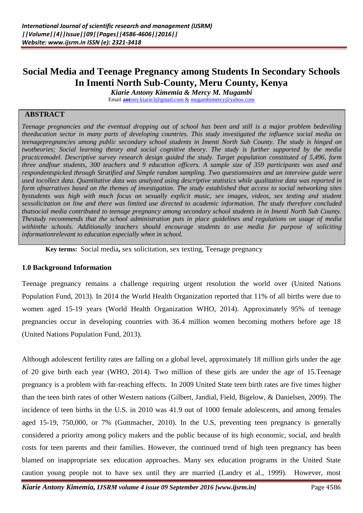# **Social Media and Teenage Pregnancy among Students In Secondary Schools In Imenti North Sub-County, Meru County, Kenya**

*Kiarie Antony Kimemia & Mercy M. Mugambi*

Email **ant**[ony.kiarie3@gmail.com &](mailto:antony.kiarie3@gmail.com%20&) [mugambimercy@yahoo.com](mailto:mugambimercy@yahoo.com)

### **ABSTRACT**

*Teenage pregnancies and the eventual dropping out of school has been and still is a major problem bedeviling theeducation sector in many parts of developing countries. This study investigated the influence social media on teenagepregnancies among public secondary school students in Imenti North Sub County. The study is hinged on twotheories; Social learning theory and social cognitive theory. The study is further supported by the media practicemodel. Descriptive survey research design guided the study. Target population constituted of 5,496, form three andfour students, 300 teachers and 9 education officers. A sample size of 359 participants was used and respondentspicked through Stratified and Simple random sampling. Two questionnaires and an interview guide were used tocollect data. Quantitative data was analyzed using descriptive statistics while qualitative data was reported in form ofnarratives based on the themes of investigation. The study established that access to social networking sites bystudents was high with much focus on sexually explicit music, sex images, videos, sex texting and student sexsolicitation on line and there was limited use directed to academic information. The study therefore concluded thatsocial media contributed to teenage pregnancy among secondary school students in in Imenti North Sub County. Thestudy recommends that the school administration puts in place guidelines and regulations on usage of media withinthe schools. Additionally teachers should encourage students to use media for purpose of soliciting informationrelevant to education especially when in school.*

**Key terms:** Social media**,** sex solicitation, sex texting*,* Teenage pregnancy

#### **1.0 Background Information**

Teenage pregnancy remains a challenge requiring urgent resolution the world over (United Nations Population Fund, 2013). In 2014 the World Health Organization reported that 11% of all births were due to women aged 15-19 years (World Health Organization WHO, 2014). Approximately 95% of teenage pregnancies occur in developing countries with 36.4 million women becoming mothers before age 18 (United Nations Population Fund, 2013).

Although adolescent fertility rates are falling on a global level, approximately 18 million girls under the age of 20 give birth each year (WHO, 2014). Two million of these girls are under the age of 15.Teenage pregnancy is a problem with far-reaching effects. In 2009 United State teen birth rates are five times higher than the teen birth rates of other Western nations (Gilbert, Jandial, Field, Bigelow, & Danielsen, 2009). The incidence of teen births in the U.S. in 2010 was 41.9 out of 1000 female adolescents, and among females aged 15-19, 750,000, or 7% (Guttmacher, 2010). In the U.S, preventing teen pregnancy is generally considered a priority among policy makers and the public because of its high economic, social, and health costs for teen parents and their families. However, the continued trend of high teen pregnancy has been blamed on inappropriate sex education approaches. Many sex education programs in the United State caution young people not to have sex until they are married (Landry et al., 1999). However, most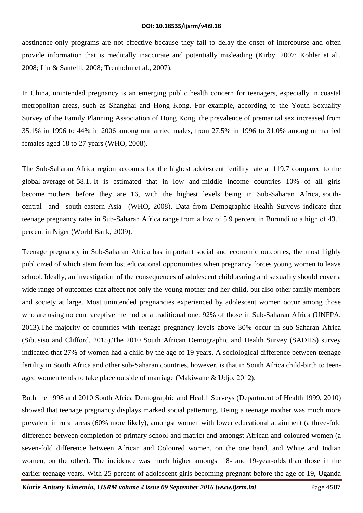abstinence-only programs are not effective because they fail to delay the onset of intercourse and often provide information that is medically inaccurate and potentially misleading (Kirby, 2007; Kohler et al., 2008; Lin & Santelli, 2008; Trenholm et al., 2007).

In China, unintended pregnancy is an emerging public health concern for teenagers, especially in coastal metropolitan areas, such as Shanghai and Hong Kong. For example, according to the Youth Sexuality Survey of the Family Planning Association of Hong Kong, the prevalence of premarital sex increased from 35.1% in 1996 to 44% in 2006 among unmarried males, from 27.5% in 1996 to 31.0% among unmarried females aged 18 to 27 years (WHO, 2008).

The Sub-Saharan Africa region accounts for the highest adolescent fertility rate at 119.7 compared to the global average of 58.1. It is estimated that in low and middle income countries 10% of all girls become mothers before they are 16, with the highest levels being in Sub-Saharan Africa, southcentral and south-eastern Asia (WHO, 2008). Data from Demographic Health Surveys indicate that teenage pregnancy rates in Sub-Saharan Africa range from a low of 5.9 percent in Burundi to a high of 43.1 percent in Niger (World Bank, 2009).

Teenage pregnancy in Sub-Saharan Africa has important social and economic outcomes, the most highly publicized of which stem from lost educational opportunities when pregnancy forces young women to leave school. Ideally, an investigation of the consequences of adolescent childbearing and sexuality should cover a wide range of outcomes that affect not only the young mother and her child, but also other family members and society at large. Most unintended pregnancies experienced by adolescent women occur among those who are using no contraceptive method or a traditional one: 92% of those in Sub-Saharan Africa (UNFPA, 2013).The majority of countries with teenage pregnancy levels above 30% occur in sub-Saharan Africa (Sibusiso and Clifford, 2015).The 2010 South African Demographic and Health Survey (SADHS) survey indicated that 27% of women had a child by the age of 19 years. A sociological difference between teenage fertility in South Africa and other sub-Saharan countries, however, is that in South Africa child-birth to teenaged women tends to take place outside of marriage (Makiwane & Udjo, 2012).

Both the 1998 and 2010 South Africa Demographic and Health Surveys (Department of Health 1999, 2010) showed that teenage pregnancy displays marked social patterning. Being a teenage mother was much more prevalent in rural areas (60% more likely), amongst women with lower educational attainment (a three-fold difference between completion of primary school and matric) and amongst African and coloured women (a seven-fold difference between African and Coloured women, on the one hand, and White and Indian women, on the other). The incidence was much higher amongst 18- and 19-year-olds than those in the earlier teenage years. With 25 percent of adolescent girls becoming pregnant before the age of 19, Uganda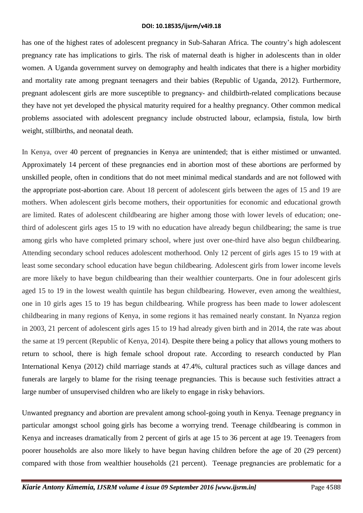has one of the highest rates of adolescent pregnancy in Sub-Saharan Africa. The country's high adolescent pregnancy rate has implications to girls. The risk of maternal death is higher in adolescents than in older women. A Uganda government survey on demography and health indicates that there is a higher morbidity and mortality rate among pregnant teenagers and their babies (Republic of Uganda, 2012). Furthermore, pregnant adolescent girls are more susceptible to pregnancy- and childbirth-related complications because they have not yet developed the physical maturity required for a healthy pregnancy. Other common medical problems associated with adolescent pregnancy include obstructed labour, eclampsia, fistula, low birth weight, stillbirths, and neonatal death.

In Kenya, over 40 percent of pregnancies in Kenya are unintended; that is either mistimed or unwanted. Approximately 14 percent of these pregnancies end in abortion most of these abortions are performed by unskilled people, often in conditions that do not meet minimal medical standards and are not followed with the appropriate post-abortion care. About 18 percent of adolescent girls between the ages of 15 and 19 are mothers. When adolescent girls become mothers, their opportunities for economic and educational growth are limited. Rates of adolescent childbearing are higher among those with lower levels of education; onethird of adolescent girls ages 15 to 19 with no education have already begun childbearing; the same is true among girls who have completed primary school, where just over one-third have also begun childbearing. Attending secondary school reduces adolescent motherhood. Only 12 percent of girls ages 15 to 19 with at least some secondary school education have begun childbearing. Adolescent girls from lower income levels are more likely to have begun childbearing than their wealthier counterparts. One in four adolescent girls aged 15 to 19 in the lowest wealth quintile has begun childbearing. However, even among the wealthiest, one in 10 girls ages 15 to 19 has begun childbearing. While progress has been made to lower adolescent childbearing in many regions of Kenya, in some regions it has remained nearly constant. In Nyanza region in 2003, 21 percent of adolescent girls ages 15 to 19 had already given birth and in 2014, the rate was about the same at 19 percent (Republic of Kenya, 2014). Despite there being a policy that allows young mothers to return to school, there is high female school dropout rate. According to research conducted by [Plan](https://plan-international.org/kenya/keeping-girls-school)  [International Kenya](https://plan-international.org/kenya/keeping-girls-school) (2012) child marriage stands at 47.4%, cultural practices such as village dances and funerals are largely to blame for the rising teenage pregnancies. This is because such festivities attract a large number of unsupervised children who are likely to engage in risky behaviors.

Unwanted pregnancy and abortion are prevalent among school-going youth in Kenya. Teenage pregnancy in particular amongst school going girls has become a worrying trend. Teenage childbearing is common in Kenya and increases dramatically from 2 percent of girls at age 15 to 36 percent at age 19. Teenagers from poorer households are also more likely to have begun having children before the age of 20 (29 percent) compared with those from wealthier households (21 percent). Teenage pregnancies are problematic for a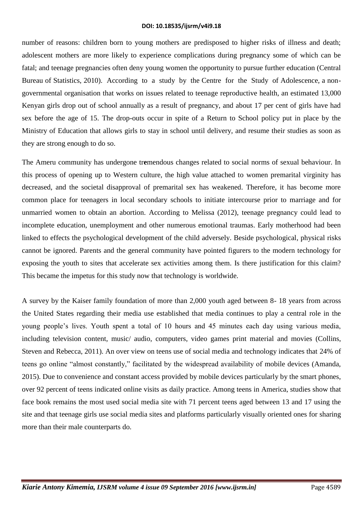number of reasons: children born to young mothers are predisposed to higher risks of illness and death; adolescent mothers are more likely to experience complications during pregnancy some of which can be fatal; and teenage pregnancies often deny young women the opportunity to pursue further education (Central Bureau of Statistics, 2010). According to a study by the Centre for the Study of Adolescence, a nongovernmental organisation that works on issues related to teenage reproductive health, an estimated 13,000 Kenyan girls drop out of school annually as a result of pregnancy, and about 17 per cent of girls have had sex before the age of 15. The drop-outs occur in spite of a Return to School policy put in place by the Ministry of Education that allows girls to stay in school until delivery, and resume their studies as soon as they are strong enough to do so.

The Ameru community has undergone tr**e**mendous changes related to social norms of sexual behaviour. In this process of opening up to Western culture, the high value attached to women premarital virginity has decreased, and the societal disapproval of premarital sex has weakened. Therefore, it has become more common place for teenagers in local secondary schools to initiate intercourse prior to marriage and for unmarried women to obtain an abortion. According to Melissa (2012), teenage pregnancy could lead to incomplete education, unemployment and other numerous emotional traumas. Early motherhood had been linked to effects the psychological development of the child adversely. Beside psychological, physical risks cannot be ignored. Parents and the general community have pointed figurers to the modern technology for exposing the youth to sites that accelerate sex activities among them. Is there justification for this claim? This became the impetus for this study now that technology is worldwide.

A survey by the Kaiser family foundation of more than 2,000 youth aged between 8- 18 years from across the United States regarding their media use established that media continues to play a central role in the young people's lives. Youth spent a total of 10 hours and 45 minutes each day using various media, including television content, music/ audio, computers, video games print material and movies (Collins, Steven and Rebecca, 2011). An over view on teens use of social media and technology indicates that 24% of teens go online "almost constantly," facilitated by the widespread availability of mobile devices (Amanda, 2015). Due to convenience and constant access provided by mobile devices particularly by the smart phones, over 92 percent of teens indicated online visits as daily practice. Among teens in America, studies show that face book remains the most used social media site with 71 percent teens aged between 13 and 17 using the site and that teenage girls use social media sites and platforms particularly visually oriented ones for sharing more than their male counterparts do.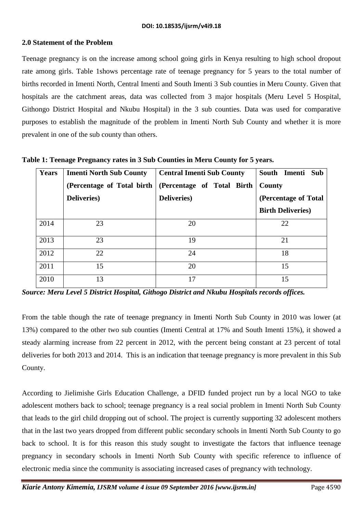# **2.0 Statement of the Problem**

Teenage pregnancy is on the increase among school going girls in Kenya resulting to high school dropout rate among girls. Table 1shows percentage rate of teenage pregnancy for 5 years to the total number of births recorded in Imenti North, Central Imenti and South Imenti 3 Sub counties in Meru County. Given that hospitals are the catchment areas, data was collected from 3 major hospitals (Meru Level 5 Hospital, Githongo District Hospital and Nkubu Hospital) in the 3 sub counties. Data was used for comparative purposes to establish the magnitude of the problem in Imenti North Sub County and whether it is more prevalent in one of the sub county than others.

| <b>Years</b> | <b>Imenti North Sub County</b> | <b>Central Imenti Sub County</b> | South Imenti Sub          |
|--------------|--------------------------------|----------------------------------|---------------------------|
|              | (Percentage of Total birth     | (Percentage of Total Birth       | County                    |
|              | <b>Deliveries</b> )            | <b>Deliveries</b> )              | (Percentage of Total)     |
|              |                                |                                  | <b>Birth Deliveries</b> ) |
| 2014         | 23                             | 20                               | 22                        |
| 2013         | 23                             | 19                               | 21                        |
| 2012         | 22                             | 24                               | 18                        |
| 2011         | 15                             | 20                               | 15                        |
| 2010         | 13                             | 17                               | 15                        |

**Table 1: Teenage Pregnancy rates in 3 Sub Counties in Meru County for 5 years.** 

*Source: Meru Level 5 District Hospital, Githogo District and Nkubu Hospitals records offices.*

From the table though the rate of teenage pregnancy in Imenti North Sub County in 2010 was lower (at 13%) compared to the other two sub counties (Imenti Central at 17% and South Imenti 15%), it showed a steady alarming increase from 22 percent in 2012, with the percent being constant at 23 percent of total deliveries for both 2013 and 2014. This is an indication that teenage pregnancy is more prevalent in this Sub County.

According to Jielimishe Girls Education Challenge, a DFID funded project run by a local NGO to take adolescent mothers back to school; teenage pregnancy is a real social problem in Imenti North Sub County that leads to the girl child dropping out of school. The project is currently supporting 32 adolescent mothers that in the last two years dropped from different public secondary schools in Imenti North Sub County to go back to school. It is for this reason this study sought to investigate the factors that influence teenage pregnancy in secondary schools in Imenti North Sub County with specific reference to influence of electronic media since the community is associating increased cases of pregnancy with technology.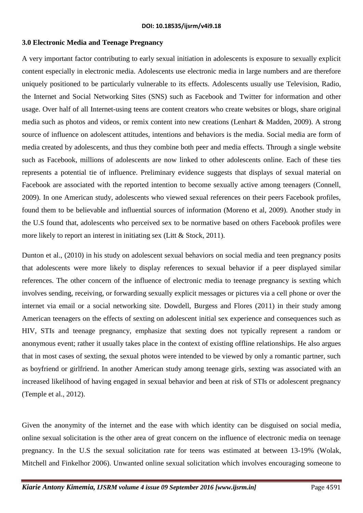## **3.0 Electronic Media and Teenage Pregnancy**

A very important factor contributing to early sexual initiation in adolescents is exposure to sexually explicit content especially in electronic media. Adolescents use electronic media in large numbers and are therefore uniquely positioned to be particularly vulnerable to its effects. Adolescents usually use Television, Radio, the Internet and Social Networking Sites (SNS) such as Facebook and Twitter for information and other usage. Over half of all Internet-using teens are content creators who create websites or blogs, share original media such as photos and videos, or remix content into new creations (Lenhart & Madden, 2009). A strong source of influence on adolescent attitudes, intentions and behaviors is the media. Social media are form of media created by adolescents, and thus they combine both peer and media effects. Through a single website such as Facebook, millions of adolescents are now linked to other adolescents online. Each of these ties represents a potential tie of influence. Preliminary evidence suggests that displays of sexual material on Facebook are associated with the reported intention to become sexually active among teenagers (Connell, 2009). In one American study, adolescents who viewed sexual references on their peers Facebook profiles, found them to be believable and influential sources of information (Moreno et al, 2009). Another study in the U.S found that, adolescents who perceived sex to be normative based on others Facebook profiles were more likely to report an interest in initiating sex (Litt & Stock, 2011).

Dunton et al., (2010) in his study on adolescent sexual behaviors on social media and teen pregnancy posits that adolescents were more likely to display references to sexual behavior if a peer displayed similar references. The other concern of the influence of electronic media to teenage pregnancy is sexting which involves sending, receiving, or forwarding sexually explicit messages or pictures via a cell phone or over the internet via email or a social networking site. Dowdell, Burgess and Flores (2011) in their study among American teenagers on the effects of sexting on adolescent initial sex experience and consequences such as HIV, STIs and teenage pregnancy, emphasize that sexting does not typically represent a random or anonymous event; rather it usually takes place in the context of existing offline relationships. He also argues that in most cases of sexting, the sexual photos were intended to be viewed by only a romantic partner, such as boyfriend or girlfriend. In another American study among teenage girls, sexting was associated with an increased likelihood of having engaged in sexual behavior and been at risk of STIs or adolescent pregnancy (Temple et al., 2012).

Given the anonymity of the internet and the ease with which identity can be disguised on social media, online sexual solicitation is the other area of great concern on the influence of electronic media on teenage pregnancy. In the U.S the sexual solicitation rate for teens was estimated at between 13-19% (Wolak, Mitchell and Finkelhor 2006). Unwanted online sexual solicitation which involves encouraging someone to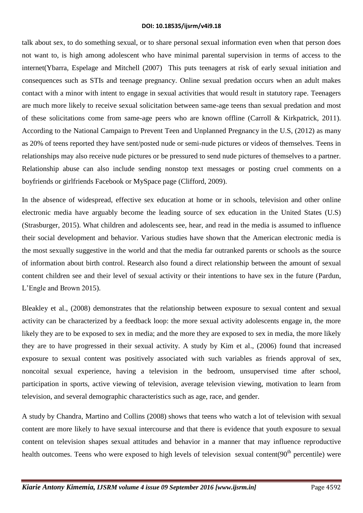talk about sex, to do something sexual, or to share personal sexual information even when that person does not want to, is high among adolescent who have minimal parental supervision in terms of access to the internet(Ybarra, Espelage and Mitchell (2007) This puts teenagers at risk of early sexual initiation and consequences such as STIs and teenage pregnancy. Online sexual predation occurs when an adult makes contact with a minor with intent to engage in sexual activities that would result in statutory rape. Teenagers are much more likely to receive sexual solicitation between same-age teens than sexual predation and most of these solicitations come from same-age peers who are known offline (Carroll & Kirkpatrick, 2011). According to the National Campaign to Prevent Teen and Unplanned Pregnancy in the U.S, (2012) as many as 20% of teens reported they have sent/posted nude or semi-nude pictures or videos of themselves. Teens in relationships may also receive nude pictures or be pressured to send nude pictures of themselves to a partner. Relationship abuse can also include sending nonstop text messages or posting cruel comments on a boyfriends or girlfriends Facebook or MySpace page (Clifford, 2009).

In the absence of widespread, effective sex education at home or in schools, television and other online electronic media have arguably become the leading source of sex education in the United States (U.S) (Strasburger, 2015). What children and adolescents see, hear, and read in the media is assumed to influence their social development and behavior. Various studies have shown that the American electronic media is the most sexually suggestive in the world and that the media far outranked parents or schools as the source of information about birth control. Research also found a direct relationship between the amount of sexual content children see and their level of sexual activity or their intentions to have sex in the future (Pardun, L'Engle and Brown 2015).

Bleakley et al., (2008) demonstrates that the relationship between exposure to sexual content and sexual activity can be characterized by a feedback loop: the more sexual activity adolescents engage in, the more likely they are to be exposed to sex in media; and the more they are exposed to sex in media, the more likely they are to have progressed in their sexual activity. A study by Kim et al., (2006) found that increased exposure to sexual content was positively associated with such variables as friends approval of sex, noncoital sexual experience, having a television in the bedroom, unsupervised time after school, participation in sports, active viewing of television, average television viewing, motivation to learn from television, and several demographic characteristics such as age, race, and gender.

A study by Chandra, Martino and Collins (2008) shows that teens who watch a lot of television with sexual content are more likely to have sexual intercourse and that there is evidence that youth exposure to sexual content on television shapes sexual attitudes and behavior in a manner that may influence reproductive health outcomes. Teens who were exposed to high levels of television sexual content(90<sup>th</sup> percentile) were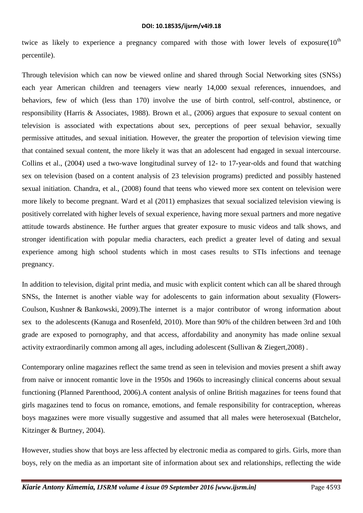twice as likely to experience a pregnancy compared with those with lower levels of exposure( $10<sup>th</sup>$ percentile).

Through television which can now be viewed online and shared through Social Networking sites (SNSs) each year American children and teenagers view nearly 14,000 sexual references, innuendoes, and behaviors, few of which (less than 170) involve the use of birth control, self-control, abstinence, or responsibility (Harris & Associates, 1988). Brown et al., (2006) argues that exposure to sexual content on television is associated with expectations about sex, perceptions of peer sexual behavior, sexually permissive attitudes, and sexual initiation. However, the greater the proportion of television viewing time that contained sexual content, the more likely it was that an adolescent had engaged in sexual intercourse. Collins et al., (2004) used a two-wave longitudinal survey of 12- to 17-year-olds and found that watching sex on television (based on a content analysis of 23 television programs) predicted and possibly hastened sexual initiation. Chandra, et al., (2008) found that teens who viewed more sex content on television were more likely to become pregnant. Ward et al (2011) emphasizes that sexual socialized television viewing is positively correlated with higher levels of sexual experience, having more sexual partners and more negative attitude towards abstinence. He further argues that greater exposure to music videos and talk shows, and stronger identification with popular media characters, each predict a greater level of dating and sexual experience among high school students which in most cases results to STIs infections and teenage pregnancy.

In addition to television, digital print media, and music with explicit content which can all be shared through SNSs, the Internet is another viable way for adolescents to gain information about sexuality (Flowers-Coulson, Kushner & Bankowski, 2009).The internet is a major contributor of wrong information about sex to the adolescents (Kanuga and Rosenfeld, 2010). More than 90% of the children between 3rd and 10th grade are exposed to pornography, and that access, affordability and anonymity has made online sexual activity extraordinarily common among all ages, including adolescent (Sullivan & Ziegert,2008) .

Contemporary online magazines reflect the same trend as seen in television and movies present a shift away from naive or innocent romantic love in the 1950s and 1960s to increasingly clinical concerns about sexual functioning (Planned Parenthood, 2006).A content analysis of online British magazines for teens found that girls magazines tend to focus on romance, emotions, and female responsibility for contraception, whereas boys magazines were more visually suggestive and assumed that all males were heterosexual (Batchelor, Kitzinger & Burtney, 2004).

However, studies show that boys are less affected by electronic media as compared to girls. Girls, more than boys, rely on the media as an important site of information about sex and relationships, reflecting the wide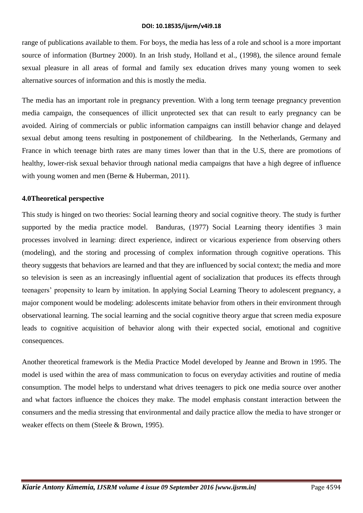range of publications available to them. For boys, the media has less of a role and school is a more important source of information (Burtney 2000). In an Irish study, Holland et al., (1998), the silence around female sexual pleasure in all areas of formal and family sex education drives many young women to seek alternative sources of information and this is mostly the media.

The media has an important role in pregnancy prevention. With a long term teenage pregnancy prevention media campaign, the consequences of illicit unprotected sex that can result to early pregnancy can be avoided. Airing of commercials or public information campaigns can instill behavior change and delayed sexual debut among teens resulting in postponement of childbearing. In the Netherlands, Germany and France in which teenage birth rates are many times lower than that in the U.S, there are promotions of healthy, lower-risk sexual behavior through national media campaigns that have a high degree of influence with young women and men (Berne & Huberman, 2011).

### **4.0Theoretical perspective**

This study is hinged on two theories: Social learning theory and social cognitive theory. The study is further supported by the media practice model. Banduras, (1977) Social Learning theory identifies 3 main processes involved in learning: direct experience, indirect or vicarious experience from observing others (modeling), and the storing and processing of complex information through cognitive operations. This theory suggests that behaviors are learned and that they are influenced by social context; the media and more so television is seen as an increasingly influential agent of socialization that produces its effects through teenagers' propensity to learn by imitation. In applying Social Learning Theory to adolescent pregnancy, a major component would be modeling: adolescents imitate behavior from others in their environment through observational learning. The social learning and the social cognitive theory argue that screen media exposure leads to cognitive acquisition of behavior along with their expected social, emotional and cognitive consequences.

Another theoretical framework is the Media Practice Model developed by Jeanne and Brown in 1995. The model is used within the area of mass communication to focus on everyday activities and routine of media consumption. The model helps to understand what drives teenagers to pick one media source over another and what factors influence the choices they make. The model emphasis constant interaction between the consumers and the media stressing that environmental and daily practice allow the media to have stronger or weaker effects on them (Steele & Brown, 1995).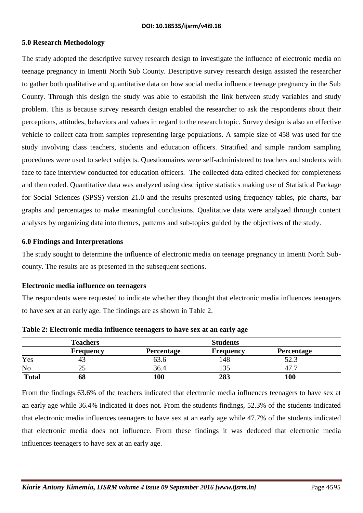### **5.0 Research Methodology**

The study adopted the descriptive survey research design to investigate the influence of electronic media on teenage pregnancy in Imenti North Sub County. Descriptive survey research design assisted the researcher to gather both qualitative and quantitative data on how social media influence teenage pregnancy in the Sub County. Through this design the study was able to establish the link between study variables and study problem. This is because survey research design enabled the researcher to ask the respondents about their perceptions, attitudes, behaviors and values in regard to the research topic. Survey design is also an effective vehicle to collect data from samples representing large populations. A sample size of 458 was used for the study involving class teachers, students and education officers. Stratified and simple random sampling procedures were used to select subjects. Questionnaires were self-administered to teachers and students with face to face interview conducted for education officers. The collected data edited checked for completeness and then coded. Quantitative data was analyzed using descriptive statistics making use of Statistical Package for Social Sciences (SPSS) version 21.0 and the results presented using frequency tables, pie charts, bar graphs and percentages to make meaningful conclusions. Qualitative data were analyzed through content analyses by organizing data into themes, patterns and sub-topics guided by the objectives of the study.

#### **6.0 Findings and Interpretations**

The study sought to determine the influence of electronic media on teenage pregnancy in Imenti North Subcounty. The results are as presented in the subsequent sections.

#### **Electronic media influence on teenagers**

The respondents were requested to indicate whether they thought that electronic media influences teenagers to have sex at an early age. The findings are as shown in Table 2.

|                | <b>Teachers</b>  |                   | <b>Students</b>  |                   |  |
|----------------|------------------|-------------------|------------------|-------------------|--|
|                | <b>Frequency</b> | <b>Percentage</b> | <b>Frequency</b> | <b>Percentage</b> |  |
| Yes            | 43               | $\sim$<br>03.O    | 148              | 52.3              |  |
| N <sub>o</sub> | ت                | 36.4              |                  | . .<br>47         |  |
| <b>Total</b>   | 68               | 100               | 283              | 100               |  |

**Table 2: Electronic media influence teenagers to have sex at an early age**

From the findings 63.6% of the teachers indicated that electronic media influences teenagers to have sex at an early age while 36.4% indicated it does not. From the students findings, 52.3% of the students indicated that electronic media influences teenagers to have sex at an early age while 47.7% of the students indicated that electronic media does not influence. From these findings it was deduced that electronic media influences teenagers to have sex at an early age.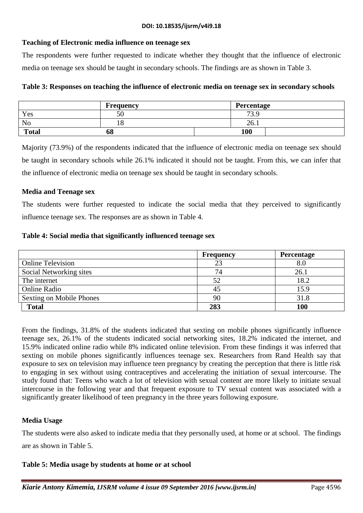# **Teaching of Electronic media influence on teenage sex**

The respondents were further requested to indicate whether they thought that the influence of electronic media on teenage sex should be taught in secondary schools. The findings are as shown in Table 3.

| Table 3: Responses on teaching the influence of electronic media on teenage sex in secondary schools |  |  |  |  |  |  |  |  |
|------------------------------------------------------------------------------------------------------|--|--|--|--|--|--|--|--|
|------------------------------------------------------------------------------------------------------|--|--|--|--|--|--|--|--|

|                | Frequency | Percentage |
|----------------|-----------|------------|
| Yes            | 50        | 73.9       |
| N <sub>0</sub> | 10        | 26.1       |
| <b>Total</b>   | 68        | 100        |

Majority (73.9%) of the respondents indicated that the influence of electronic media on teenage sex should be taught in secondary schools while 26.1% indicated it should not be taught. From this, we can infer that the influence of electronic media on teenage sex should be taught in secondary schools.

### **Media and Teenage sex**

The students were further requested to indicate the social media that they perceived to significantly influence teenage sex. The responses are as shown in Table 4.

#### **Table 4: Social media that significantly influenced teenage sex**

|                          | <b>Frequency</b> | <b>Percentage</b> |
|--------------------------|------------------|-------------------|
| <b>Online Television</b> | 23               | 8.0               |
| Social Networking sites  | 74               | 26.1              |
| The internet             | 52               | 18.2              |
| <b>Online Radio</b>      | 45               | 15.9              |
| Sexting on Mobile Phones | 90               | 31.8              |
| <b>Total</b>             | 283              | 100               |

From the findings, 31.8% of the students indicated that sexting on mobile phones significantly influence teenage sex, 26.1% of the students indicated social networking sites, 18.2% indicated the internet, and 15.9% indicated online radio while 8% indicated online television. From these findings it was inferred that sexting on mobile phones significantly influences teenage sex. Researchers from Rand Health say that exposure to sex on television may influence teen pregnancy by creating the perception that there is little risk to engaging in sex without using contraceptives and accelerating the initiation of sexual intercourse. The study found that: Teens who watch a lot of television with sexual content are more likely to initiate sexual intercourse in the following year and that frequent exposure to TV sexual content was associated with a significantly greater likelihood of teen pregnancy in the three years following exposure.

# **Media Usage**

The students were also asked to indicate media that they personally used, at home or at school. The findings are as shown in Table 5.

#### **Table 5: Media usage by students at home or at school**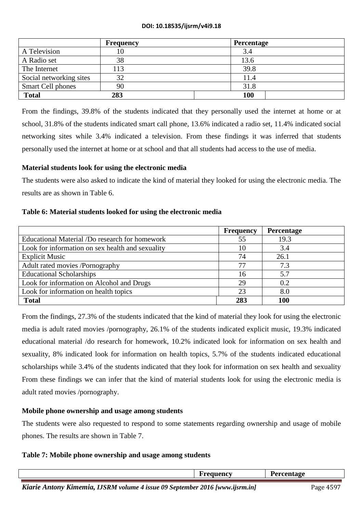|                          | <b>Frequency</b> | Percentage |
|--------------------------|------------------|------------|
| A Television             |                  | 3.4        |
| A Radio set              | 38               | 13.6       |
| The Internet             | 113              | 39.8       |
| Social networking sites  | 32               | 11.4       |
| <b>Smart Cell phones</b> | 90               | 31.8       |
| <b>Total</b>             | 283              | 100        |

From the findings, 39.8% of the students indicated that they personally used the internet at home or at school, 31.8% of the students indicated smart call phone, 13.6% indicated a radio set, 11.4% indicated social networking sites while 3.4% indicated a television. From these findings it was inferred that students personally used the internet at home or at school and that all students had access to the use of media.

# **Material students look for using the electronic media**

The students were also asked to indicate the kind of material they looked for using the electronic media. The results are as shown in Table 6.

### **Table 6: Material students looked for using the electronic media**

|                                                  | <b>Frequency</b> | <b>Percentage</b> |
|--------------------------------------------------|------------------|-------------------|
| Educational Material /Do research for homework   | 55               | 19.3              |
| Look for information on sex health and sexuality | 10               | 3.4               |
| <b>Explicit Music</b>                            | 74               | 26.1              |
| Adult rated movies /Pornography                  | 77               | 7.3               |
| <b>Educational Scholarships</b>                  | 16               | 5.7               |
| Look for information on Alcohol and Drugs        | 29               | 0.2               |
| Look for information on health topics            | 23               | 8.0               |
| <b>Total</b>                                     | 283              | <b>100</b>        |

From the findings, 27.3% of the students indicated that the kind of material they look for using the electronic media is adult rated movies /pornography, 26.1% of the students indicated explicit music, 19.3% indicated educational material /do research for homework, 10.2% indicated look for information on sex health and sexuality, 8% indicated look for information on health topics, 5.7% of the students indicated educational scholarships while 3.4% of the students indicated that they look for information on sex health and sexuality From these findings we can infer that the kind of material students look for using the electronic media is adult rated movies /pornography.

#### **Mobile phone ownership and usage among students**

The students were also requested to respond to some statements regarding ownership and usage of mobile phones. The results are shown in Table 7.

#### **Table 7: Mobile phone ownership and usage among students**

|                                                                              | Frequency | Percentage |           |
|------------------------------------------------------------------------------|-----------|------------|-----------|
| Kiarie Antony Kimemia, IJSRM volume 4 issue 09 September 2016 [www.ijsrm.in] |           |            | Page 4597 |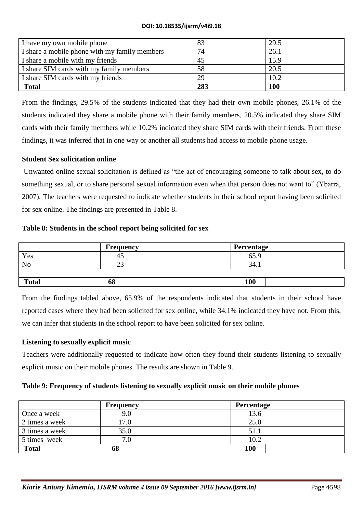| I have my own mobile phone                    | 83  | 29.5       |
|-----------------------------------------------|-----|------------|
| I share a mobile phone with my family members | 74  | 26.1       |
| I share a mobile with my friends              | 45  | 15.9       |
| I share SIM cards with my family members      | 58  | 20.5       |
| I share SIM cards with my friends             | 29  | 10.2       |
| <b>Total</b>                                  | 283 | <b>100</b> |

From the findings, 29.5% of the students indicated that they had their own mobile phones, 26.1% of the students indicated they share a mobile phone with their family members, 20.5% indicated they share SIM cards with their family members while 10.2% indicated they share SIM cards with their friends. From these findings, it was inferred that in one way or another all students had access to mobile phone usage.

### **Student Sex solicitation online**

Unwanted online sexual solicitation is defined as "the act of encouraging someone to talk about sex, to do something sexual, or to share personal sexual information even when that person does not want to" (Ybarra, 2007). The teachers were requested to indicate whether students in their school report having been solicited for sex online. The findings are presented in Table 8.

### **Table 8: Students in the school report being solicited for sex**

|                | <b>Frequency</b> | Percentage |
|----------------|------------------|------------|
| Yes            | 43               | 65.9       |
| N <sub>o</sub> | ت ک              | 34.1       |
|                |                  |            |
| <b>Total</b>   | 68               | <b>100</b> |

From the findings tabled above, 65.9% of the respondents indicated that students in their school have reported cases where they had been solicited for sex online, while 34.1% indicated they have not. From this, we can infer that students in the school report to have been solicited for sex online.

# **Listening to sexually explicit music**

Teachers were additionally requested to indicate how often they found their students listening to sexually explicit music on their mobile phones. The results are shown in Table 9.

#### **Table 9: Frequency of students listening to sexually explicit music on their mobile phones**

|                | <b>Frequency</b> | Percentage |
|----------------|------------------|------------|
| Once a week    |                  | 13.6       |
| 2 times a week | 7.0              | 25.0       |
| 3 times a week | 35.0             | 51.1       |
| 5 times week   | ⇁                | 10.2       |
| <b>Total</b>   | 68               | 100        |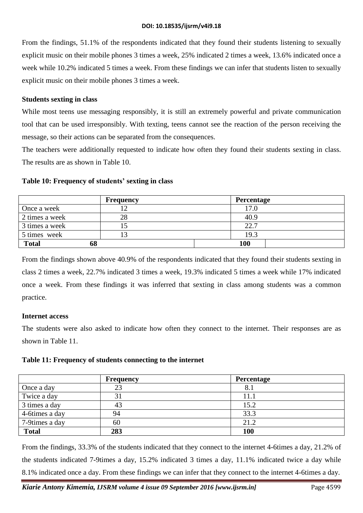From the findings, 51.1% of the respondents indicated that they found their students listening to sexually explicit music on their mobile phones 3 times a week, 25% indicated 2 times a week, 13.6% indicated once a week while 10.2% indicated 5 times a week. From these findings we can infer that students listen to sexually explicit music on their mobile phones 3 times a week.

### **Students sexting in class**

While most teens use messaging responsibly, it is still an extremely powerful and private communication tool that can be used irresponsibly. With texting, teens cannot see the reaction of the person receiving the message, so their actions can be separated from the consequences.

The teachers were additionally requested to indicate how often they found their students sexting in class. The results are as shown in Table 10.

# **Table 10: Frequency of students' sexting in class**

|                    | Frequency | Percentage |  |
|--------------------|-----------|------------|--|
| Once a week        |           |            |  |
| 2 times a week     | 28        | 40.9       |  |
| 3 times a week     |           | 22.7       |  |
| 5 times week       |           | 19.3       |  |
| <b>Total</b><br>0ð |           | 100        |  |

From the findings shown above 40.9% of the respondents indicated that they found their students sexting in class 2 times a week, 22.7% indicated 3 times a week, 19.3% indicated 5 times a week while 17% indicated once a week. From these findings it was inferred that sexting in class among students was a common practice.

# **Internet access**

The students were also asked to indicate how often they connect to the internet. Their responses are as shown in Table 11.

#### **Table 11: Frequency of students connecting to the internet**

|                 | <b>Frequency</b> | <b>Percentage</b> |  |
|-----------------|------------------|-------------------|--|
| Once a day      | 23               |                   |  |
| Twice a day     |                  | 11.1              |  |
| 3 times a day   | 43               | 15.2              |  |
| 4-6 times a day | 94               | 33.3              |  |
| 7-9times a day  | 60               | 21.2              |  |
| <b>Total</b>    | 283              | 100               |  |

From the findings, 33.3% of the students indicated that they connect to the internet 4-6times a day, 21.2% of the students indicated 7-9times a day, 15.2% indicated 3 times a day, 11.1% indicated twice a day while 8.1% indicated once a day. From these findings we can infer that they connect to the internet 4-6times a day.

*Kiarie Antony Kimemia, IJSRM volume 4 issue 09 September 2016 [www.ijsrm.in]* Page 4599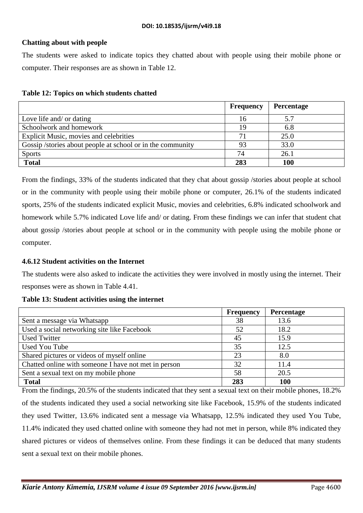## **Chatting about with people**

The students were asked to indicate topics they chatted about with people using their mobile phone or computer. Their responses are as shown in Table 12.

#### **Table 12: Topics on which students chatted**

|                                                            | <b>Frequency</b> | Percentage |
|------------------------------------------------------------|------------------|------------|
| Love life and/ or dating                                   | 16               | 5.7        |
| Schoolwork and homework                                    | 19               | 6.8        |
| Explicit Music, movies and celebrities                     |                  | 25.0       |
| Gossip /stories about people at school or in the community | 93               | 33.0       |
| <b>Sports</b>                                              | 74               | 26.1       |
| <b>Total</b>                                               | 283              | 100        |

From the findings, 33% of the students indicated that they chat about gossip /stories about people at school or in the community with people using their mobile phone or computer, 26.1% of the students indicated sports, 25% of the students indicated explicit Music, movies and celebrities, 6.8% indicated schoolwork and homework while 5.7% indicated Love life and/ or dating. From these findings we can infer that student chat about gossip /stories about people at school or in the community with people using the mobile phone or computer.

#### **4.6.12 Student activities on the Internet**

The students were also asked to indicate the activities they were involved in mostly using the internet. Their responses were as shown in Table 4.41.

#### **Table 13: Student activities using the internet**

|                                                      | <b>Frequency</b> | <b>Percentage</b> |
|------------------------------------------------------|------------------|-------------------|
| Sent a message via Whatsapp                          | 38               | 13.6              |
| Used a social networking site like Facebook          | 52               | 18.2              |
| <b>Used Twitter</b>                                  | 45               | 15.9              |
| Used You Tube                                        | 35               | 12.5              |
| Shared pictures or videos of myself online           | 23               | 8.0               |
| Chatted online with someone I have not met in person | 32               | 11.4              |
| Sent a sexual text on my mobile phone                | 58               | 20.5              |
| <b>Total</b>                                         | 283              | <b>100</b>        |

From the findings, 20.5% of the students indicated that they sent a sexual text on their mobile phones, 18.2% of the students indicated they used a social networking site like Facebook, 15.9% of the students indicated they used Twitter, 13.6% indicated sent a message via Whatsapp, 12.5% indicated they used You Tube, 11.4% indicated they used chatted online with someone they had not met in person, while 8% indicated they shared pictures or videos of themselves online. From these findings it can be deduced that many students sent a sexual text on their mobile phones.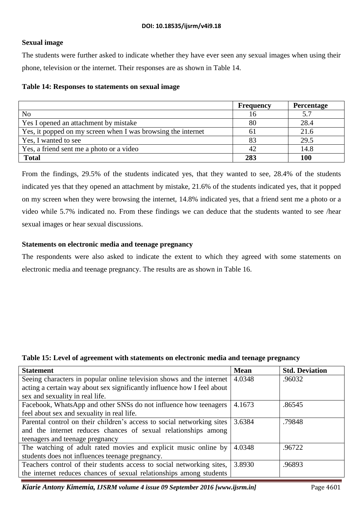# **Sexual image**

The students were further asked to indicate whether they have ever seen any sexual images when using their phone, television or the internet. Their responses are as shown in Table 14.

### **Table 14: Responses to statements on sexual image**

|                                                              | <b>Frequency</b> | Percentage |
|--------------------------------------------------------------|------------------|------------|
| N <sub>o</sub>                                               |                  | 5.7        |
| Yes I opened an attachment by mistake                        | 80               | 28.4       |
| Yes, it popped on my screen when I was browsing the internet | 61               | 21.6       |
| Yes, I wanted to see                                         | 83               | 29.5       |
| Yes, a friend sent me a photo or a video                     | 42               | 14.8       |
| <b>Total</b>                                                 | 283              | <b>100</b> |

From the findings, 29.5% of the students indicated yes, that they wanted to see, 28.4% of the students indicated yes that they opened an attachment by mistake, 21.6% of the students indicated yes, that it popped on my screen when they were browsing the internet, 14.8% indicated yes, that a friend sent me a photo or a video while 5.7% indicated no. From these findings we can deduce that the students wanted to see /hear sexual images or hear sexual discussions.

### **Statements on electronic media and teenage pregnancy**

The respondents were also asked to indicate the extent to which they agreed with some statements on electronic media and teenage pregnancy. The results are as shown in Table 16.

#### **Table 15: Level of agreement with statements on electronic media and teenage pregnancy**

| <b>Statement</b>                                                        | <b>Mean</b> | <b>Std. Deviation</b> |
|-------------------------------------------------------------------------|-------------|-----------------------|
| Seeing characters in popular online television shows and the internet   | 4.0348      | .96032                |
| acting a certain way about sex significantly influence how I feel about |             |                       |
| sex and sexuality in real life.                                         |             |                       |
| Facebook, WhatsApp and other SNSs do not influence how teenagers        | 4.1673      | .86545                |
| feel about sex and sexuality in real life.                              |             |                       |
| Parental control on their children's access to social networking sites  | 3.6384      | .79848                |
| and the internet reduces chances of sexual relationships among          |             |                       |
| teenagers and teenage pregnancy                                         |             |                       |
| The watching of adult rated movies and explicit music online by         | 4.0348      | .96722                |
| students does not influences teenage pregnancy.                         |             |                       |
| Teachers control of their students access to social networking sites,   | 3.8930      | .96893                |
| the internet reduces chances of sexual relationships among students     |             |                       |

*Kiarie Antony Kimemia, IJSRM volume 4 issue 09 September 2016 [www.ijsrm.in]* Page 4601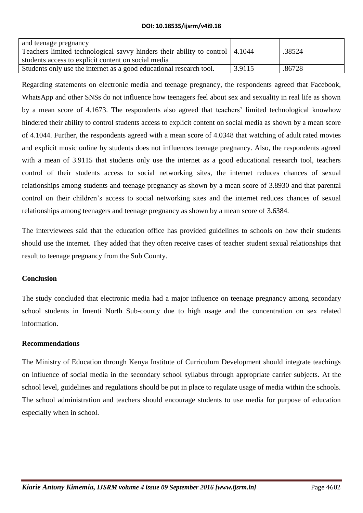| and teenage pregnancy                                                        |        |        |
|------------------------------------------------------------------------------|--------|--------|
| Teachers limited technological savvy hinders their ability to control 4.1044 |        | .38524 |
| students access to explicit content on social media                          |        |        |
| Students only use the internet as a good educational research tool.          | 3.9115 | .86728 |

Regarding statements on electronic media and teenage pregnancy, the respondents agreed that Facebook, WhatsApp and other SNSs do not influence how teenagers feel about sex and sexuality in real life as shown by a mean score of 4.1673. The respondents also agreed that teachers' limited technological knowhow hindered their ability to control students access to explicit content on social media as shown by a mean score of 4.1044. Further, the respondents agreed with a mean score of 4.0348 that watching of adult rated movies and explicit music online by students does not influences teenage pregnancy. Also, the respondents agreed with a mean of 3.9115 that students only use the internet as a good educational research tool, teachers control of their students access to social networking sites, the internet reduces chances of sexual relationships among students and teenage pregnancy as shown by a mean score of 3.8930 and that parental control on their children's access to social networking sites and the internet reduces chances of sexual relationships among teenagers and teenage pregnancy as shown by a mean score of 3.6384.

The interviewees said that the education office has provided guidelines to schools on how their students should use the internet. They added that they often receive cases of teacher student sexual relationships that result to teenage pregnancy from the Sub County.

# **Conclusion**

The study concluded that electronic media had a major influence on teenage pregnancy among secondary school students in Imenti North Sub-county due to high usage and the concentration on sex related information.

# **Recommendations**

The Ministry of Education through Kenya Institute of Curriculum Development should integrate teachings on influence of social media in the secondary school syllabus through appropriate carrier subjects. At the school level, guidelines and regulations should be put in place to regulate usage of media within the schools. The school administration and teachers should encourage students to use media for purpose of education especially when in school.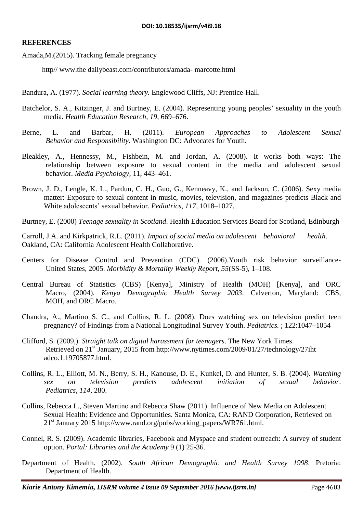### **REFERENCES**

Amada,M.(2015). Tracking female pregnancy

http// www.the dailybeast.com/contributors/amada- marcotte.html

- Bandura, A. (1977). *Social learning theory.* Englewood Cliffs, NJ: Prentice-Hall.
- Batchelor, S. A., Kitzinger, J. and Burtney, E. (2004). Representing young peoples' sexuality in the youth media. *Health Education Research, 19,* 669–676.
- Berne, L. and Barbar, H. (2011). *European Approaches to Adolescent Sexual Behavior and Responsibility.* Washington DC: Advocates for Youth.
- Bleakley, A., Hennessy, M., Fishbein, M. and Jordan, A. (2008). It works both ways: The relationship between exposure to sexual content in the media and adolescent sexual behavior*. Media Psychology*, 11, 443–461.
- Brown, J. D., Lengle, K. L., Pardun, C. H., Guo, G., Kenneavy, K., and Jackson, C. (2006). Sexy media matter: Exposure to sexual content in music, movies, television, and magazines predicts Black and White adolescents' sexual behavior. *Pediatrics, 117,* 1018–1027.
- Burtney, E. (2000) *Teenage sexuality in Scotland*. Health Education Services Board for Scotland, Edinburgh

Carroll, J.A. and Kirkpatrick, R.L. (2011). *Impact of social media on adolescent behavioral health*. Oakland, CA: California Adolescent Health Collaborative.

- Centers for Disease Control and Prevention (CDC). (2006).Youth risk behavior surveillance-United States, 2005. *Morbidity & Mortality Weekly Report, 55*(SS-5), 1–108.
- Central Bureau of Statistics (CBS) [Kenya], Ministry of Health (MOH) [Kenya], and ORC Macro, (2004). *Kenya Demographic Health Survey 2003*. Calverton, Maryland: CBS, MOH, and ORC Macro.
- Chandra, A., Martino S. C., and Collins, R. L. (2008). Does watching sex on television predict teen pregnancy? of Findings from a National Longitudinal Survey Youth. *Pediatrics.* ; 122:1047–1054
- Clifford, S. (2009,). *Straight talk on digital harassment for teenagers*. The New York Times. Retrieved on 21st January, 2015 from http://www.nytimes.com/2009/01/27/technology/27iht adco.1.19705877.html.
- Collins, R. L., Elliott, M. N., Berry, S. H., Kanouse, D. E., Kunkel, D. and Hunter, S. B. (2004). *Watching sex on television predicts adolescent initiation of sexual behavior*. *Pediatrics, 114,* 280.
- Collins, Rebecca L., Steven Martino and Rebecca Shaw (2011). Influence of New Media on Adolescent Sexual Health: Evidence and Opportunities. Santa Monica, CA: RAND Corporation, Retrieved on 21st January 2015 http://www.rand.org/pubs/working\_papers/WR761.html.
- Connel, R. S. (2009). Academic libraries, Facebook and Myspace and student outreach: A survey of student option. *Portal: Libraries and the Academy* 9 (1) 25-36.
- Department of Health. (2002). *South African Demographic and Health Survey 1998*. Pretoria: Department of Health.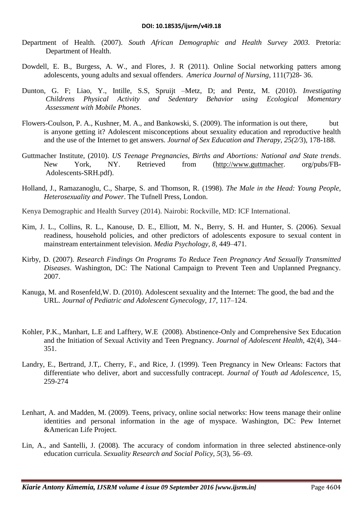- Department of Health. (2007). *South African Demographic and Health Survey 2003*. Pretoria: Department of Health.
- Dowdell, E. B., Burgess, A. W., and Flores, J. R (2011). Online Social networking patters among adolescents, young adults and sexual offenders. *America Journal of Nursing*, 111(7)28- 36.
- Dunton, G. F; Liao, Y., Intille, S.S, Spruijt –Metz, D; and Pentz, M. (2010). *Investigating Childrens Physical Activity and Sedentary Behavior using Ecological Momentary Assessment with Mobile Phones*.
- Flowers-Coulson, P. A., Kushner, M. A., and Bankowski, S. (2009). The information is out there, but is anyone getting it? Adolescent misconceptions about sexuality education and reproductive health and the use of the Internet to get answers. *Journal of Sex Education and Therapy, 25(2/*3), 178-188.
- Guttmacher Institute, (2010). *US Teenage Pregnancies, Births and Abortions: National and State trends*. New York, NY. Retrieved from [\(http://www.guttmacher.](http://www.guttmacher/) org/pubs/FB-Adolescents-SRH.pdf).
- Holland, J., Ramazanoglu, C., Sharpe, S. and Thomson, R. (1998). *The Male in the Head: Young People, Heterosexuality and Power*. The Tufnell Press, London.
- Kenya Demographic and Health Survey (2014). Nairobi: Rockville, MD: ICF International.
- Kim, J. L., Collins, R. L., Kanouse, D. E., Elliott, M. N., Berry, S. H. and Hunter, S. (2006). Sexual readiness, household policies, and other predictors of adolescents exposure to sexual content in mainstream entertainment television. *Media Psychology, 8,* 449–471.
- Kirby, D. (2007). *Research Findings On Programs To Reduce Teen Pregnancy And Sexually Transmitted Diseases*. Washington, DC: The National Campaign to Prevent Teen and Unplanned Pregnancy. 2007.
- Kanuga, M. and Rosenfeld,W. D. (2010). Adolescent sexuality and the Internet: The good, the bad and the URL. *Journal of Pediatric and Adolescent Gynecology, 17,* 117–124.
- Kohler, P.K., Manhart, L.E and Lafftery, W.E (2008). Abstinence-Only and Comprehensive Sex Education and the Initiation of Sexual Activity and Teen Pregnancy. *Journal of Adolescent Health*, 42(4), 344– 351.
- Landry, E., Bertrand, J.T,. Cherry, F., and Rice, J. (1999). Teen Pregnancy in New Orleans: Factors that differentiate who deliver, abort and successfully contracept. *Journal of Youth ad Adolescence,* 15, 259-274
- Lenhart, A. and Madden, M. (2009). Teens, privacy, online social networks: How teens manage their online identities and personal information in the age of myspace. Washington, DC: Pew Internet &American Life Project.
- Lin, A., and Santelli, J. (2008). The accuracy of condom information in three selected abstinence-only education curricula. *Sexuality Research and Social Policy, 5*(3), 56–69.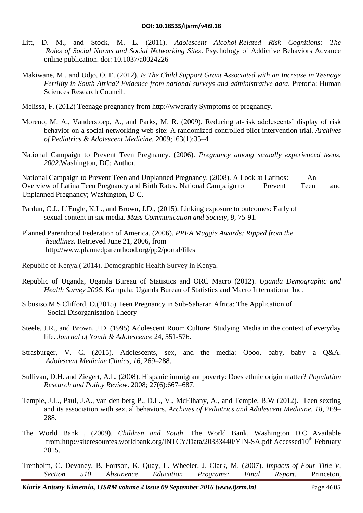- Litt, D. M., and Stock, M. L. (2011). *Adolescent Alcohol-Related Risk Cognitions: The Roles of Social Norms and Social Networking Sites*. Psychology of Addictive Behaviors Advance online publication. doi: 10.1037/a0024226
- Makiwane, M., and Udjo, O. E. (2012). *Is The Child Support Grant Associated with an Increase in Teenage Fertility in South Africa? Evidence from national surveys and administrative data*. Pretoria: Human Sciences Research Council.
- Melissa, F. (2012) Teenage pregnancy from http://wwerarly Symptoms of pregnancy.
- Moreno, M. A., Vanderstoep, A., and Parks, M. R. (2009). Reducing at-risk adolescents' display of risk behavior on a social networking web site: A randomized controlled pilot intervention trial. *Archives of Pediatrics & Adolescent Medicine.* 2009;163(1):35–4
- National Campaign to Prevent Teen Pregnancy. (2006). *Pregnancy among sexually experienced teens, 2002.*Washington, DC: Author.

National Campaign to Prevent Teen and Unplanned Pregnancy. (2008). A Look at Latinos: An Overview of Latina Teen Pregnancy and Birth Rates. National Campaign to Prevent Teen and Unplanned Pregnancy; Washington, D C.

- Pardun, C.J., L'Engle, K.L., and Brown, J.D., (2015). Linking exposure to outcomes: Early of sexual content in six media. *Mass Communication and Society, 8,* 75-91.
- Planned Parenthood Federation of America. (2006). *PPFA Maggie Awards: Ripped from the headlines.* Retrieved June 21, 2006, from <http://www.plannedparenthood.org/pp2/portal/files>
- Republic of Kenya.( 2014). Demographic Health Survey in Kenya.
- Republic of Uganda, Uganda Bureau of Statistics and ORC Macro (2012). *Uganda Demographic and Health Survey 2006*. Kampala: Uganda Bureau of Statistics and Macro International Inc.
- Sibusiso,M.\$ Clifford, O.(2015).Teen Pregnancy in Sub-Saharan Africa: The Application of Social Disorganisation Theory
- Steele, J.R., and Brown, J.D. (1995) Adolescent Room Culture: Studying Media in the context of everyday life. *Journal of Youth & Adolescence* 24, 551-576.
- Strasburger, V. C. (2015). Adolescents, sex, and the media: Oooo, baby, baby—a Q&A. *Adolescent Medicine Clinics, 16,* 269–288.
- Sullivan, D.H. and Ziegert, A.L. (2008). Hispanic immigrant poverty: Does ethnic origin matter? *Population Research and Policy Review*. 2008; 27(6):667–687.
- Temple, J.L., Paul, J.A., van den berg P., D.L., V., McElhany, A., and Temple, B.W (2012). Teen sexting and its association with sexual behaviors. *Archives of Pediatrics and Adolescent Medicine, 18,* 269– 288.
- The World Bank , (2009). *Children and Youth*. The World Bank, Washington D.C Available from:http://siteresources.worldbank.org/INTCY/Data/20333440/YIN-SA.pdf Accessed10<sup>th</sup> February 2015.
- Trenholm, C. Devaney, B. Fortson, K. Quay, L. Wheeler, J. Clark, M. (2007). *Impacts of Four Title V, Section 510 Abstinence Education Programs: Final Report*. Princeton,